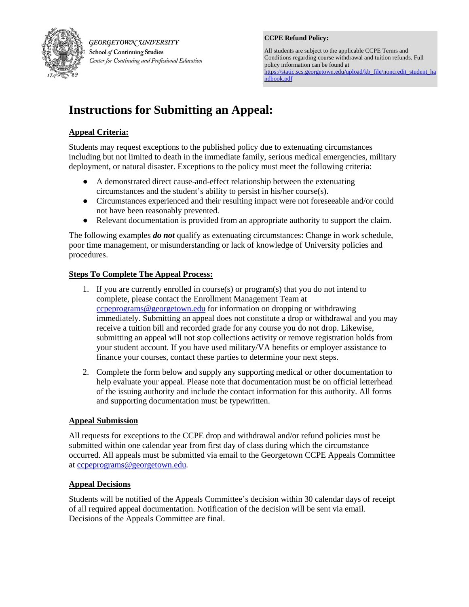

GEORGETOWN UNIVERSITY School of Continuing Studies Center for Continuing and Professional Education **CCPE Refund Policy:** 

All students are subject to the applicable CCPE Terms and Conditions regarding course withdrawal and tuition refunds. Full policy information can be found at [https://static.scs.georgetown.edu/upload/kb\\_file/noncredit\\_student\\_ha](https://static.scs.georgetown.edu/upload/kb_file/noncredit_student_handbook.pdf) [ndbook.pdf](https://static.scs.georgetown.edu/upload/kb_file/noncredit_student_handbook.pdf) 

# **Instructions for Submitting an Appeal:**

## **Appeal Criteria:**

Students may request exceptions to the published policy due to extenuating circumstances including but not limited to death in the immediate family, serious medical emergencies, military deployment, or natural disaster. Exceptions to the policy must meet the following criteria:

- A demonstrated direct cause-and-effect relationship between the extenuating circumstances and the student's ability to persist in his/her course(s).
- Circumstances experienced and their resulting impact were not foreseeable and/or could not have been reasonably prevented.
- Relevant documentation is provided from an appropriate authority to support the claim.

The following examples *do not* qualify as extenuating circumstances: Change in work schedule, poor time management, or misunderstanding or lack of knowledge of University policies and procedures.

## **Steps To Complete The Appeal Process:**

- 1. If you are currently enrolled in course(s) or program(s) that you do not intend to complete, please contact the Enrollment Management Team at ccpeprograms@georgetown.edu for information on dropping or withdrawing immediately. Submitting an appeal does not constitute a drop or withdrawal and you may receive a tuition bill and recorded grade for any course you do not drop. Likewise, submitting an appeal will not stop collections activity or remove registration holds from your student account. If you have used military/VA benefits or employer assistance to finance your courses, contact these parties to determine your next steps.
- 2. Complete the form below and supply any supporting medical or other documentation to help evaluate your appeal. Please note that documentation must be on official letterhead of the issuing authority and include the contact information for this authority. All forms and supporting documentation must be typewritten.

## **Appeal Submission**

All requests for exceptions to the CCPE drop and withdrawal and/or refund policies must be submitted within one calendar year from first day of class during which the circumstance occurred. All appeals must be submitted via email to the Georgetown CCPE Appeals Committee at [ccpeprograms@georgetown.edu.](mailto:ccpeprograms@georgetown.edu)

## **Appeal Decisions**

Students will be notified of the Appeals Committee's decision within 30 calendar days of receipt of all required appeal documentation. Notification of the decision will be sent via email. Decisions of the Appeals Committee are final.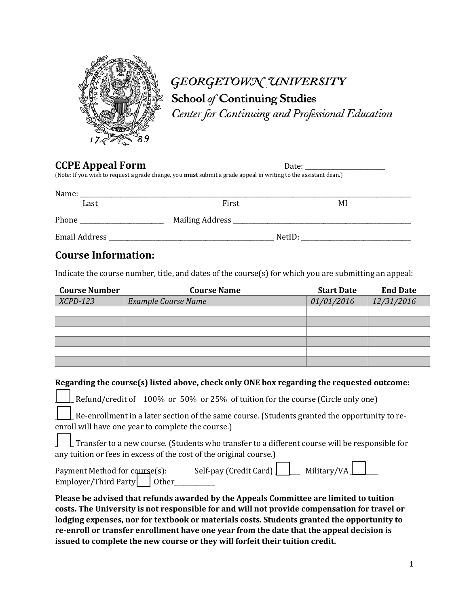

# GEORGETOWN UNIVERSITY School of Continuing Studies

Center for Continuing and Professional Education

**CCPE Appeal Form**<br>
(Note: If you wish to request a grade change, you **must** submit a grade appeal in writing to the assistant dean.)

| Name:         |                 |        |    |
|---------------|-----------------|--------|----|
| Last          | First           |        | MI |
| Phone         | Mailing Address |        |    |
| Email Address |                 | NetID: |    |

## **Course Information:**

Indicate the course number, title, and dates of the course(s) for which you are submitting an appeal:

| <b>Course Number</b> | <b>Course Name</b>         | <b>Start Date</b> | <b>End Date</b> |  |
|----------------------|----------------------------|-------------------|-----------------|--|
| $XCPD-123$           | <b>Example Course Name</b> | 01/01/2016        | 12/31/2016      |  |
|                      |                            |                   |                 |  |
|                      |                            |                   |                 |  |
|                      |                            |                   |                 |  |
|                      |                            |                   |                 |  |
|                      |                            |                   |                 |  |
|                      |                            |                   |                 |  |

### **Regarding the course(s) listed above, check only ONE box regarding the requested outcome:**

Refund/credit of 100% or 50% or 25% of tuition for the course (Circle only one)

Re-enrollment in a later section of the same course. (Students granted the opportunity to reenroll will have one year to complete the course.)

\_\_\_\_\_\_ Transfer to a new course. (Students who transfer to a different course will be responsible for any tuition or fees in excess of the cost of the original course.)

| Payment Method for course(s): | Self-pay (Credit Card) $\boxed{\phantom{\cdot}}$ Military/VA $\boxed{\phantom{\cdot}}$ |  |  |
|-------------------------------|----------------------------------------------------------------------------------------|--|--|
| Employer/Third Party   Other_ |                                                                                        |  |  |

**Please be advised that refunds awarded by the Appeals Committee are limited to tuition costs. The University is not responsible for and will not provide compensation for travel or lodging expenses, nor for textbook or materials costs. Students granted the opportunity to re-enroll or transfer enrollment have one year from the date that the appeal decision is issued to complete the new course or they will forfeit their tuition credit.**